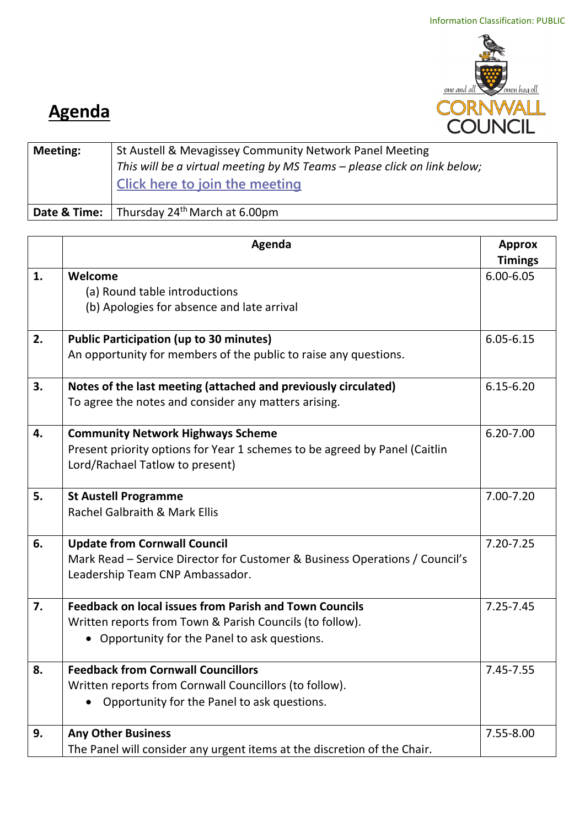

## **Agenda**

| <b>Meeting:</b> | St Austell & Mevagissey Community Network Panel Meeting<br>This will be a virtual meeting by MS Teams - please click on link below;<br><b>Click here to join the meeting</b> |
|-----------------|------------------------------------------------------------------------------------------------------------------------------------------------------------------------------|
| Date & Time:    | Thursday 24 <sup>th</sup> March at 6.00pm                                                                                                                                    |

|    | Agenda                                                                      | <b>Approx</b>  |
|----|-----------------------------------------------------------------------------|----------------|
|    |                                                                             | <b>Timings</b> |
| 1. | Welcome                                                                     | $6.00 - 6.05$  |
|    | (a) Round table introductions                                               |                |
|    | (b) Apologies for absence and late arrival                                  |                |
| 2. | <b>Public Participation (up to 30 minutes)</b>                              | $6.05 - 6.15$  |
|    | An opportunity for members of the public to raise any questions.            |                |
| 3. | Notes of the last meeting (attached and previously circulated)              | $6.15 - 6.20$  |
|    | To agree the notes and consider any matters arising.                        |                |
| 4. | <b>Community Network Highways Scheme</b>                                    | $6.20 - 7.00$  |
|    | Present priority options for Year 1 schemes to be agreed by Panel (Caitlin  |                |
|    | Lord/Rachael Tatlow to present)                                             |                |
| 5. | <b>St Austell Programme</b>                                                 | 7.00-7.20      |
|    | Rachel Galbraith & Mark Ellis                                               |                |
| 6. | <b>Update from Cornwall Council</b>                                         | $7.20 - 7.25$  |
|    | Mark Read – Service Director for Customer & Business Operations / Council's |                |
|    | Leadership Team CNP Ambassador.                                             |                |
| 7. | <b>Feedback on local issues from Parish and Town Councils</b>               | $7.25 - 7.45$  |
|    | Written reports from Town & Parish Councils (to follow).                    |                |
|    | • Opportunity for the Panel to ask questions.                               |                |
| 8. | <b>Feedback from Cornwall Councillors</b>                                   | 7.45-7.55      |
|    | Written reports from Cornwall Councillors (to follow).                      |                |
|    | Opportunity for the Panel to ask questions.                                 |                |
| 9. | <b>Any Other Business</b>                                                   | 7.55-8.00      |
|    | The Panel will consider any urgent items at the discretion of the Chair.    |                |